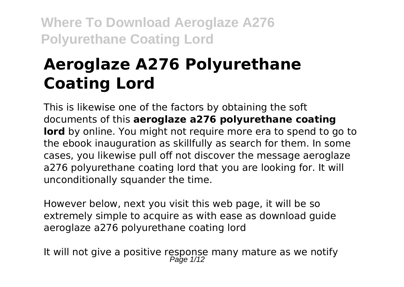# **Aeroglaze A276 Polyurethane Coating Lord**

This is likewise one of the factors by obtaining the soft documents of this **aeroglaze a276 polyurethane coating lord** by online. You might not require more era to spend to go to the ebook inauguration as skillfully as search for them. In some cases, you likewise pull off not discover the message aeroglaze a276 polyurethane coating lord that you are looking for. It will unconditionally squander the time.

However below, next you visit this web page, it will be so extremely simple to acquire as with ease as download guide aeroglaze a276 polyurethane coating lord

It will not give a positive response many mature as we notify<br> $P_{\text{age 1/12}}$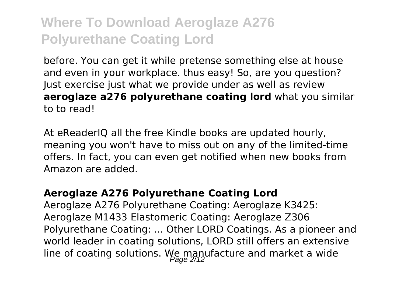before. You can get it while pretense something else at house and even in your workplace. thus easy! So, are you question? Just exercise just what we provide under as well as review **aeroglaze a276 polyurethane coating lord** what you similar to to read!

At eReaderIQ all the free Kindle books are updated hourly, meaning you won't have to miss out on any of the limited-time offers. In fact, you can even get notified when new books from Amazon are added.

#### **Aeroglaze A276 Polyurethane Coating Lord**

Aeroglaze A276 Polyurethane Coating: Aeroglaze K3425: Aeroglaze M1433 Elastomeric Coating: Aeroglaze Z306 Polyurethane Coating: ... Other LORD Coatings. As a pioneer and world leader in coating solutions, LORD still offers an extensive line of coating solutions. We manufacture and market a wide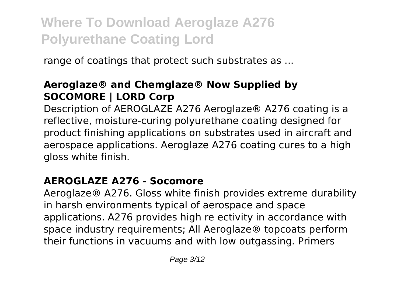range of coatings that protect such substrates as ...

#### **Aeroglaze® and Chemglaze® Now Supplied by SOCOMORE | LORD Corp**

Description of AEROGLAZE A276 Aeroglaze® A276 coating is a reflective, moisture-curing polyurethane coating designed for product finishing applications on substrates used in aircraft and aerospace applications. Aeroglaze A276 coating cures to a high gloss white finish.

#### **AEROGLAZE A276 - Socomore**

Aeroglaze® A276. Gloss white finish provides extreme durability in harsh environments typical of aerospace and space applications. A276 provides high re ectivity in accordance with space industry requirements; All Aeroglaze® topcoats perform their functions in vacuums and with low outgassing. Primers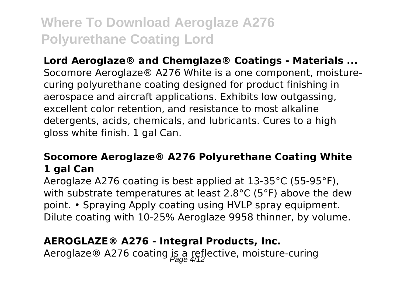**Lord Aeroglaze® and Chemglaze® Coatings - Materials ...** Socomore Aeroglaze® A276 White is a one component, moisturecuring polyurethane coating designed for product finishing in aerospace and aircraft applications. Exhibits low outgassing, excellent color retention, and resistance to most alkaline detergents, acids, chemicals, and lubricants. Cures to a high gloss white finish. 1 gal Can.

#### **Socomore Aeroglaze® A276 Polyurethane Coating White 1 gal Can**

Aeroglaze A276 coating is best applied at 13-35°C (55-95°F), with substrate temperatures at least 2.8°C (5°F) above the dew point. • Spraying Apply coating using HVLP spray equipment. Dilute coating with 10-25% Aeroglaze 9958 thinner, by volume.

#### **AEROGLAZE® A276 - Integral Products, Inc.**

Aeroglaze ® A276 coating is a reflective, moisture-curing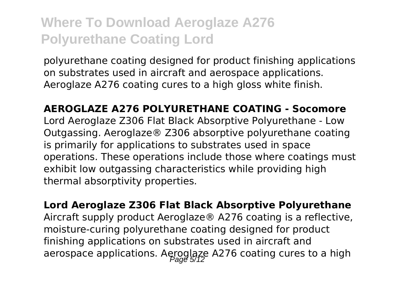polyurethane coating designed for product finishing applications on substrates used in aircraft and aerospace applications. Aeroglaze A276 coating cures to a high gloss white finish.

**AEROGLAZE A276 POLYURETHANE COATING - Socomore** Lord Aeroglaze Z306 Flat Black Absorptive Polyurethane - Low Outgassing. Aeroglaze® Z306 absorptive polyurethane coating is primarily for applications to substrates used in space operations. These operations include those where coatings must exhibit low outgassing characteristics while providing high thermal absorptivity properties.

**Lord Aeroglaze Z306 Flat Black Absorptive Polyurethane** Aircraft supply product Aeroglaze® A276 coating is a reflective, moisture-curing polyurethane coating designed for product finishing applications on substrates used in aircraft and aerospace applications. Aeroglaze A276 coating cures to a high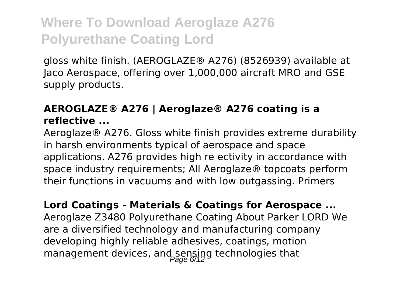gloss white finish. (AEROGLAZE® A276) (8526939) available at Jaco Aerospace, offering over 1,000,000 aircraft MRO and GSE supply products.

#### **AEROGLAZE® A276 | Aeroglaze® A276 coating is a reflective ...**

Aeroglaze® A276. Gloss white finish provides extreme durability in harsh environments typical of aerospace and space applications. A276 provides high re ectivity in accordance with space industry requirements; All Aeroglaze® topcoats perform their functions in vacuums and with low outgassing. Primers

**Lord Coatings - Materials & Coatings for Aerospace ...** Aeroglaze Z3480 Polyurethane Coating About Parker LORD We are a diversified technology and manufacturing company developing highly reliable adhesives, coatings, motion management devices, and sensing technologies that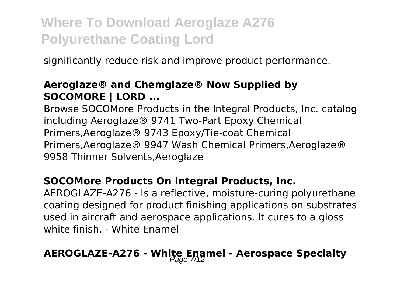significantly reduce risk and improve product performance.

#### **Aeroglaze® and Chemglaze® Now Supplied by SOCOMORE | LORD ...**

Browse SOCOMore Products in the Integral Products, Inc. catalog including Aeroglaze® 9741 Two-Part Epoxy Chemical Primers,Aeroglaze® 9743 Epoxy/Tie-coat Chemical Primers,Aeroglaze® 9947 Wash Chemical Primers,Aeroglaze® 9958 Thinner Solvents,Aeroglaze

#### **SOCOMore Products On Integral Products, Inc.**

AEROGLAZE-A276 - Is a reflective, moisture-curing polyurethane coating designed for product finishing applications on substrates used in aircraft and aerospace applications. It cures to a gloss white finish. - White Enamel

# **AEROGLAZE-A276 - White Enamel - Aerospace Specialty** Page 7/12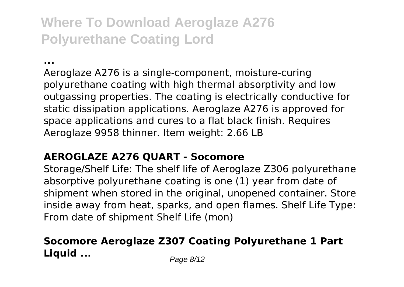**...**

Aeroglaze A276 is a single-component, moisture-curing polyurethane coating with high thermal absorptivity and low outgassing properties. The coating is electrically conductive for static dissipation applications. Aeroglaze A276 is approved for space applications and cures to a flat black finish. Requires Aeroglaze 9958 thinner. Item weight: 2.66 LB

#### **AEROGLAZE A276 QUART - Socomore**

Storage/Shelf Life: The shelf life of Aeroglaze Z306 polyurethane absorptive polyurethane coating is one (1) year from date of shipment when stored in the original, unopened container. Store inside away from heat, sparks, and open flames. Shelf Life Type: From date of shipment Shelf Life (mon)

#### **Socomore Aeroglaze Z307 Coating Polyurethane 1 Part Liquid ...** Page 8/12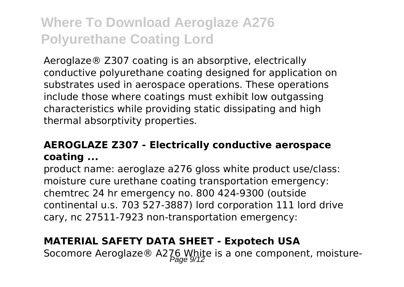Aeroglaze® Z307 coating is an absorptive, electrically conductive polyurethane coating designed for application on substrates used in aerospace operations. These operations include those where coatings must exhibit low outgassing characteristics while providing static dissipating and high thermal absorptivity properties.

#### **AEROGLAZE Z307 - Electrically conductive aerospace coating ...**

product name: aeroglaze a276 gloss white product use/class: moisture cure urethane coating transportation emergency: chemtrec 24 hr emergency no. 800 424-9300 (outside continental u.s. 703 527-3887) lord corporation 111 lord drive cary, nc 27511-7923 non-transportation emergency:

#### **MATERIAL SAFETY DATA SHEET - Expotech USA**

Socomore Aeroglaze® A276 White is a one component, moisture-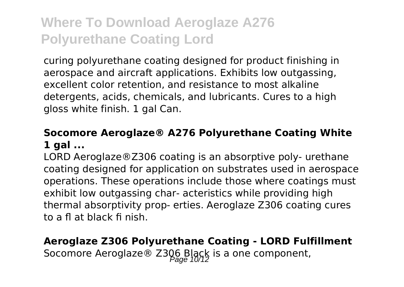curing polyurethane coating designed for product finishing in aerospace and aircraft applications. Exhibits low outgassing, excellent color retention, and resistance to most alkaline detergents, acids, chemicals, and lubricants. Cures to a high gloss white finish. 1 gal Can.

#### **Socomore Aeroglaze® A276 Polyurethane Coating White 1 gal ...**

LORD Aeroglaze®Z306 coating is an absorptive poly- urethane coating designed for application on substrates used in aerospace operations. These operations include those where coatings must exhibit low outgassing char- acteristics while providing high thermal absorptivity prop- erties. Aeroglaze Z306 coating cures to a fl at black fi nish.

#### **Aeroglaze Z306 Polyurethane Coating - LORD Fulfillment** Socomore Aeroglaze® Z306 Black is a one component,